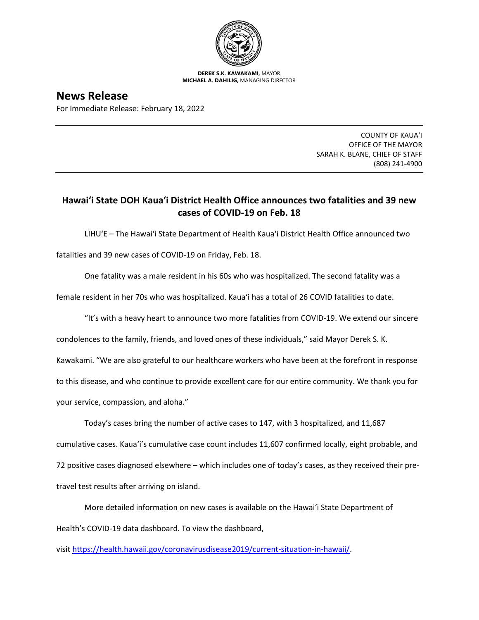

**DEREK S.K. KAWAKAMI,** MAYOR **MICHAEL A. DAHILIG,** MANAGING DIRECTOR

**News Release** For Immediate Release: February 18, 2022

> COUNTY OF KAUA'I OFFICE OF THE MAYOR SARAH K. BLANE, CHIEF OF STAFF (808) 241-4900

## **Hawai'i State DOH Kaua'i District Health Office announces two fatalities and 39 new cases of COVID-19 on Feb. 18**

LĪHU'E – The Hawai'i State Department of Health Kaua'i District Health Office announced two fatalities and 39 new cases of COVID-19 on Friday, Feb. 18.

One fatality was a male resident in his 60s who was hospitalized. The second fatality was a

female resident in her 70s who was hospitalized. Kaua'i has a total of 26 COVID fatalities to date.

"It's with a heavy heart to announce two more fatalities from COVID-19. We extend our sincere

condolences to the family, friends, and loved ones of these individuals," said Mayor Derek S. K.

Kawakami. "We are also grateful to our healthcare workers who have been at the forefront in response

to this disease, and who continue to provide excellent care for our entire community. We thank you for

your service, compassion, and aloha."

Today's cases bring the number of active cases to 147, with 3 hospitalized, and 11,687 cumulative cases. Kaua'i's cumulative case count includes 11,607 confirmed locally, eight probable, and 72 positive cases diagnosed elsewhere – which includes one of today's cases, as they received their pretravel test results after arriving on island.

More detailed information on new cases is available on the Hawai'i State Department of Health's COVID-19 data dashboard. To view the dashboard,

visit [https://health.hawaii.gov/coronavirusdisease2019/current-situation-in-hawaii/.](https://health.hawaii.gov/coronavirusdisease2019/current-situation-in-hawaii/)